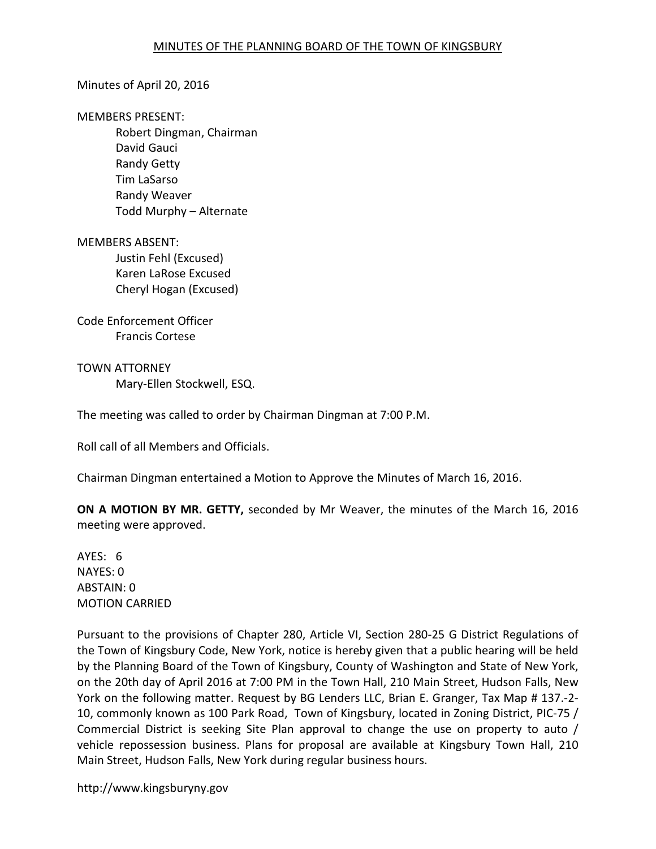## Minutes of April 20, 2016

## MEMBERS PRESENT:

 Robert Dingman, Chairman David Gauci Randy Getty Tim LaSarso Randy Weaver Todd Murphy – Alternate

MEMBERS ABSENT:

 Justin Fehl (Excused) Karen LaRose Excused Cheryl Hogan (Excused)

Code Enforcement Officer Francis Cortese

TOWN ATTORNEY Mary-Ellen Stockwell, ESQ.

The meeting was called to order by Chairman Dingman at 7:00 P.M.

Roll call of all Members and Officials.

Chairman Dingman entertained a Motion to Approve the Minutes of March 16, 2016.

**ON A MOTION BY MR. GETTY,** seconded by Mr Weaver, the minutes of the March 16, 2016 meeting were approved.

AYES: 6 NAYES: 0 ABSTAIN: 0 MOTION CARRIED

Pursuant to the provisions of Chapter 280, Article VI, Section 280-25 G District Regulations of the Town of Kingsbury Code, New York, notice is hereby given that a public hearing will be held by the Planning Board of the Town of Kingsbury, County of Washington and State of New York, on the 20th day of April 2016 at 7:00 PM in the Town Hall, 210 Main Street, Hudson Falls, New York on the following matter. Request by BG Lenders LLC, Brian E. Granger, Tax Map # 137.-2- 10, commonly known as 100 Park Road, Town of Kingsbury, located in Zoning District, PIC-75 / Commercial District is seeking Site Plan approval to change the use on property to auto / vehicle repossession business. Plans for proposal are available at Kingsbury Town Hall, 210 Main Street, Hudson Falls, New York during regular business hours.

http://www.kingsburyny.gov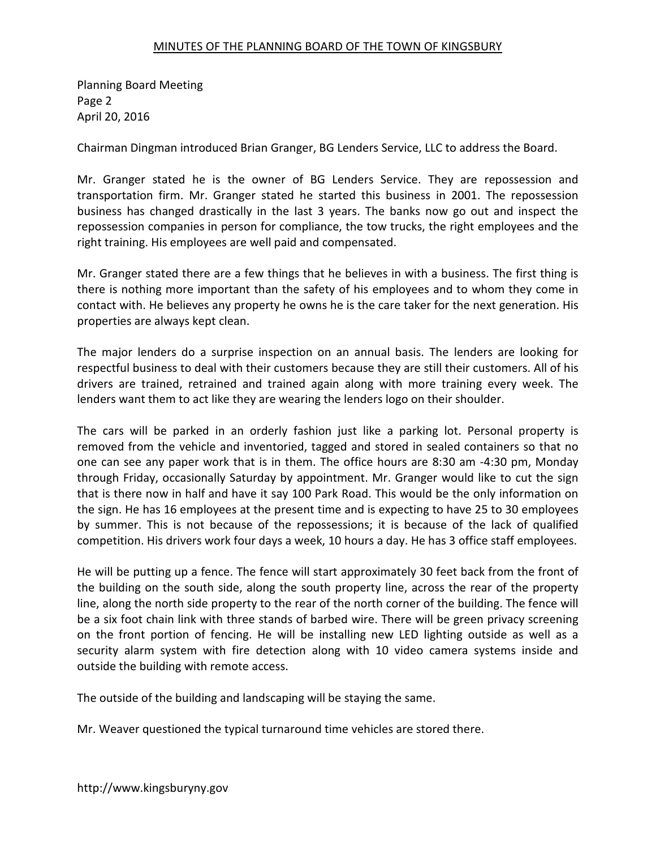## MINUTES OF THE PLANNING BOARD OF THE TOWN OF KINGSBURY

Planning Board Meeting Page 2 April 20, 2016

Chairman Dingman introduced Brian Granger, BG Lenders Service, LLC to address the Board.

Mr. Granger stated he is the owner of BG Lenders Service. They are repossession and transportation firm. Mr. Granger stated he started this business in 2001. The repossession business has changed drastically in the last 3 years. The banks now go out and inspect the repossession companies in person for compliance, the tow trucks, the right employees and the right training. His employees are well paid and compensated.

Mr. Granger stated there are a few things that he believes in with a business. The first thing is there is nothing more important than the safety of his employees and to whom they come in contact with. He believes any property he owns he is the care taker for the next generation. His properties are always kept clean.

The major lenders do a surprise inspection on an annual basis. The lenders are looking for respectful business to deal with their customers because they are still their customers. All of his drivers are trained, retrained and trained again along with more training every week. The lenders want them to act like they are wearing the lenders logo on their shoulder.

The cars will be parked in an orderly fashion just like a parking lot. Personal property is removed from the vehicle and inventoried, tagged and stored in sealed containers so that no one can see any paper work that is in them. The office hours are 8:30 am -4:30 pm, Monday through Friday, occasionally Saturday by appointment. Mr. Granger would like to cut the sign that is there now in half and have it say 100 Park Road. This would be the only information on the sign. He has 16 employees at the present time and is expecting to have 25 to 30 employees by summer. This is not because of the repossessions; it is because of the lack of qualified competition. His drivers work four days a week, 10 hours a day. He has 3 office staff employees.

He will be putting up a fence. The fence will start approximately 30 feet back from the front of the building on the south side, along the south property line, across the rear of the property line, along the north side property to the rear of the north corner of the building. The fence will be a six foot chain link with three stands of barbed wire. There will be green privacy screening on the front portion of fencing. He will be installing new LED lighting outside as well as a security alarm system with fire detection along with 10 video camera systems inside and outside the building with remote access.

The outside of the building and landscaping will be staying the same.

Mr. Weaver questioned the typical turnaround time vehicles are stored there.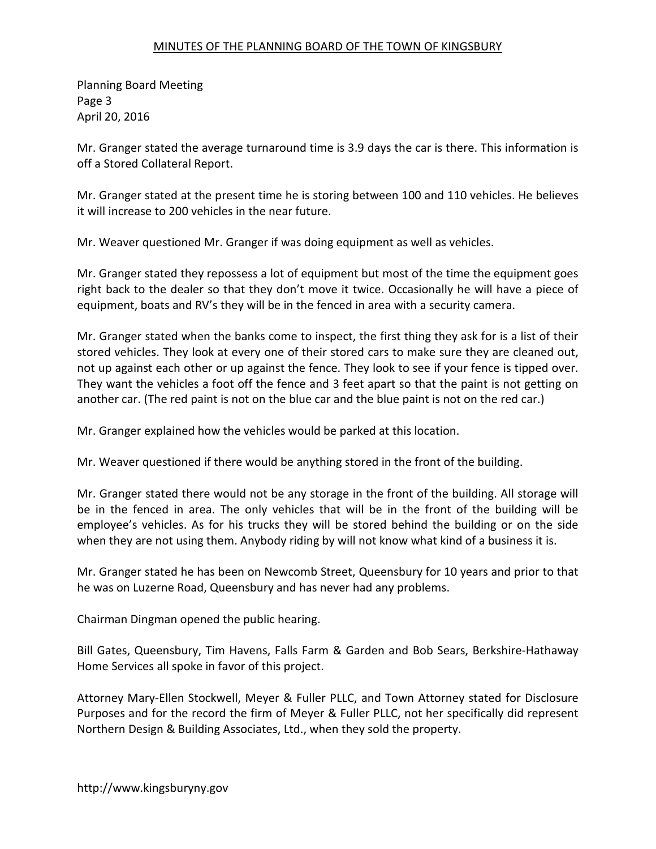## MINUTES OF THE PLANNING BOARD OF THE TOWN OF KINGSBURY

Planning Board Meeting Page 3 April 20, 2016

Mr. Granger stated the average turnaround time is 3.9 days the car is there. This information is off a Stored Collateral Report.

Mr. Granger stated at the present time he is storing between 100 and 110 vehicles. He believes it will increase to 200 vehicles in the near future.

Mr. Weaver questioned Mr. Granger if was doing equipment as well as vehicles.

Mr. Granger stated they repossess a lot of equipment but most of the time the equipment goes right back to the dealer so that they don't move it twice. Occasionally he will have a piece of equipment, boats and RV's they will be in the fenced in area with a security camera.

Mr. Granger stated when the banks come to inspect, the first thing they ask for is a list of their stored vehicles. They look at every one of their stored cars to make sure they are cleaned out, not up against each other or up against the fence. They look to see if your fence is tipped over. They want the vehicles a foot off the fence and 3 feet apart so that the paint is not getting on another car. (The red paint is not on the blue car and the blue paint is not on the red car.)

Mr. Granger explained how the vehicles would be parked at this location.

Mr. Weaver questioned if there would be anything stored in the front of the building.

Mr. Granger stated there would not be any storage in the front of the building. All storage will be in the fenced in area. The only vehicles that will be in the front of the building will be employee's vehicles. As for his trucks they will be stored behind the building or on the side when they are not using them. Anybody riding by will not know what kind of a business it is.

Mr. Granger stated he has been on Newcomb Street, Queensbury for 10 years and prior to that he was on Luzerne Road, Queensbury and has never had any problems.

Chairman Dingman opened the public hearing.

Bill Gates, Queensbury, Tim Havens, Falls Farm & Garden and Bob Sears, Berkshire-Hathaway Home Services all spoke in favor of this project.

Attorney Mary-Ellen Stockwell, Meyer & Fuller PLLC, and Town Attorney stated for Disclosure Purposes and for the record the firm of Meyer & Fuller PLLC, not her specifically did represent Northern Design & Building Associates, Ltd., when they sold the property.